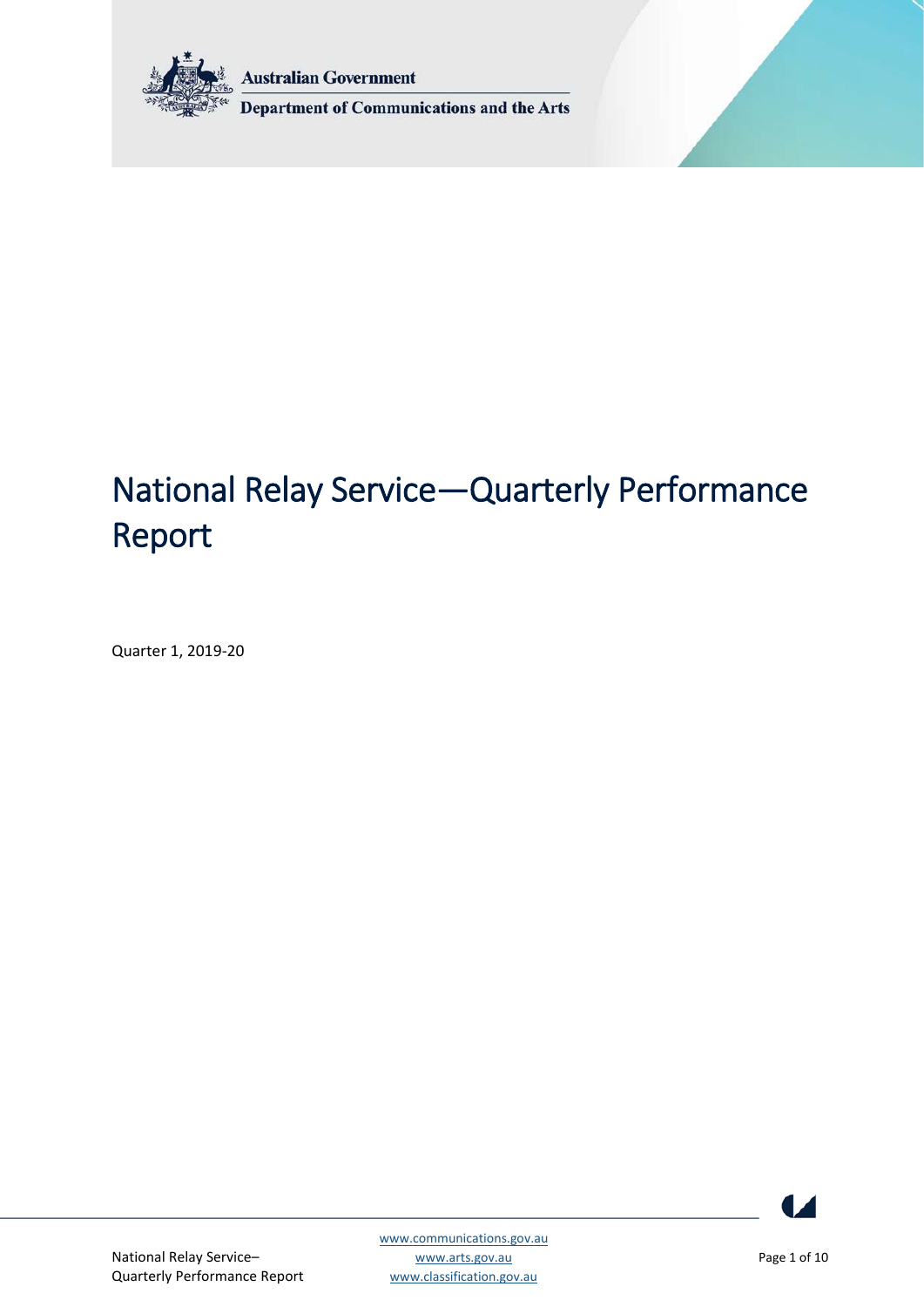

**Australian Government** 

Department of Communications and the Arts

# National Relay Service—Quarterly Performance Report

Quarter 1, 2019-20

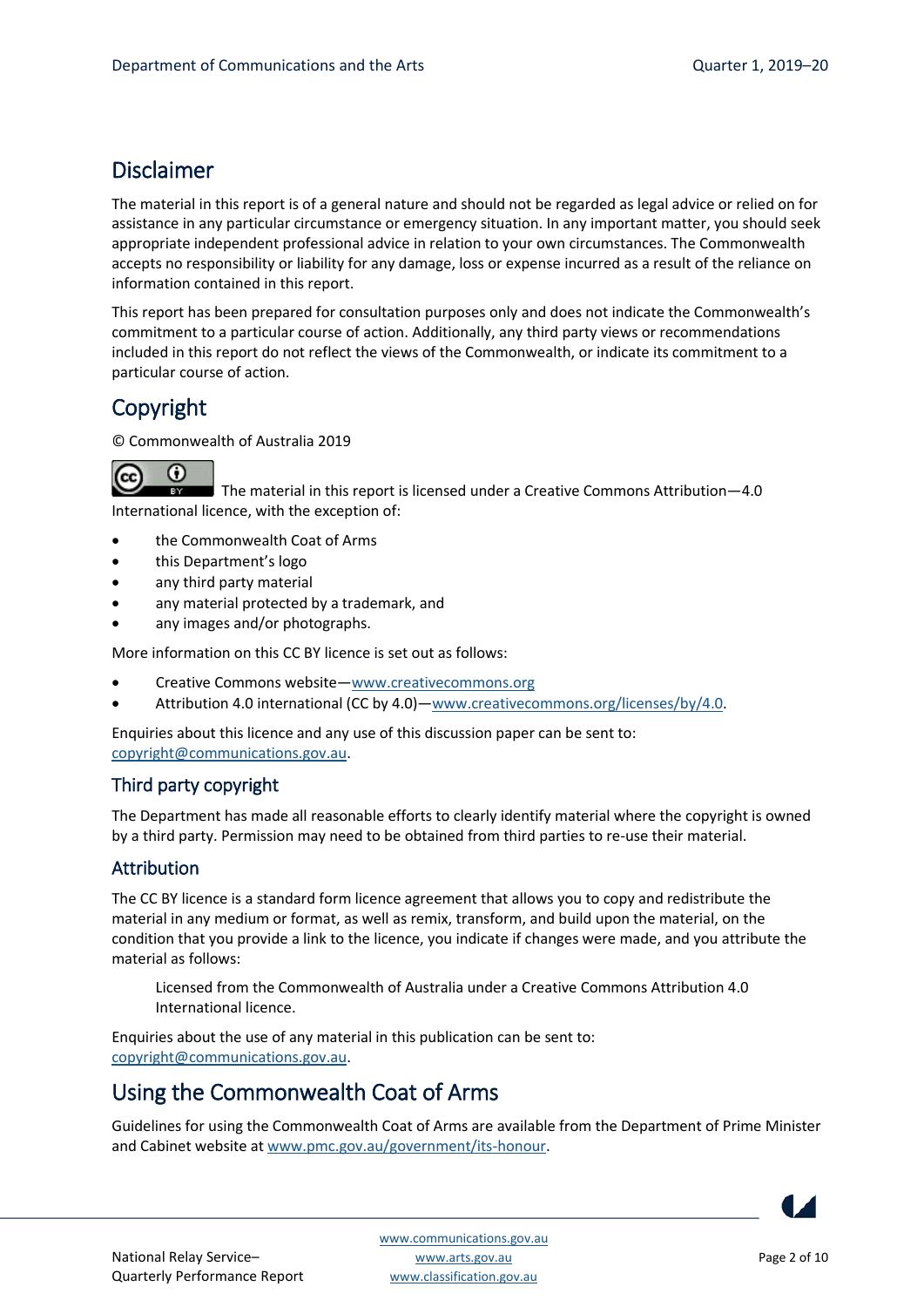#### Disclaimer

The material in this report is of a general nature and should not be regarded as legal advice or relied on for assistance in any particular circumstance or emergency situation. In any important matter, you should seek appropriate independent professional advice in relation to your own circumstances. The Commonwealth accepts no responsibility or liability for any damage, loss or expense incurred as a result of the reliance on information contained in this report.

This report has been prepared for consultation purposes only and does not indicate the Commonwealth's commitment to a particular course of action. Additionally, any third party views or recommendations included in this report do not reflect the views of the Commonwealth, or indicate its commitment to a particular course of action.

#### Copyright

© Commonwealth of Australia 2019



The material in this report is licensed under a Creative Commons Attribution—4.0 **BY** International licence, with the exception of:

- the Commonwealth Coat of Arms
- this Department's logo
- any third party material
- any material protected by a trademark, and
- any images and/or photographs.

More information on this CC BY licence is set out as follows:

- Creative Commons website[—www.creativecommons.org](http://www.creativecommons.org/)
- Attribution 4.0 international (CC by 4.0)[—www.creativecommons.org/licenses/by/4.0.](http://www.creativecommons.org/licenses/by/4.0)

Enquiries about this licence and any use of this discussion paper can be sent to: [copyright@communications.gov.au.](mailto:copyright@communications.gov.au)

#### Third party copyright

The Department has made all reasonable efforts to clearly identify material where the copyright is owned by a third party. Permission may need to be obtained from third parties to re-use their material.

#### Attribution

The CC BY licence is a standard form licence agreement that allows you to copy and redistribute the material in any medium or format, as well as remix, transform, and build upon the material, on the condition that you provide a link to the licence, you indicate if changes were made, and you attribute the material as follows:

Licensed from the Commonwealth of Australia under a Creative Commons Attribution 4.0 International licence.

Enquiries about the use of any material in this publication can be sent to: [copyright@communications.gov.au.](mailto:copyright@communications.gov.au)

#### Using the Commonwealth Coat of Arms

Guidelines for using the Commonwealth Coat of Arms are available from the Department of Prime Minister and Cabinet website a[t www.pmc.gov.au/government/its-honour.](https://www.pmc.gov.au/government/its-honour)

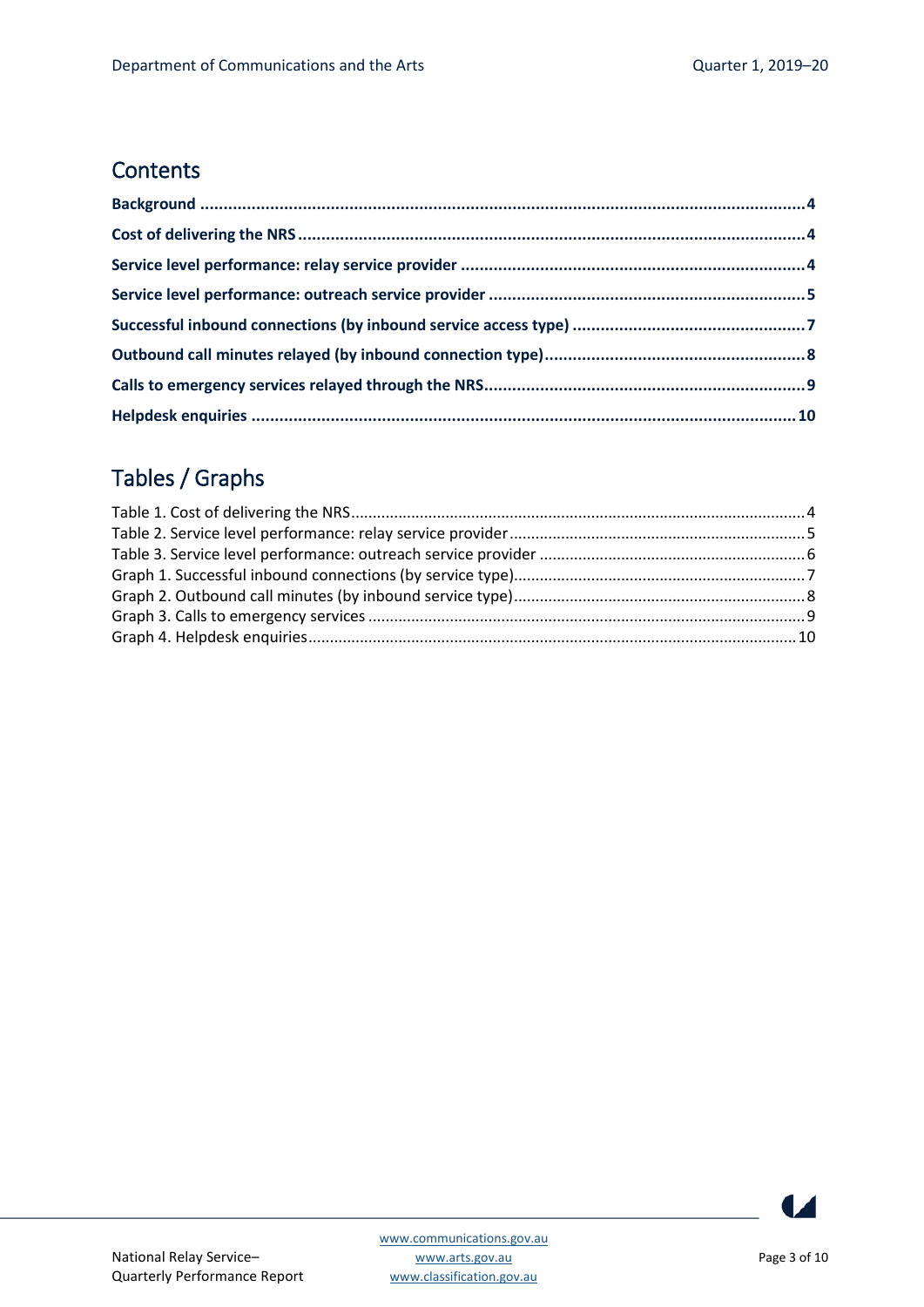#### **Contents**

# Tables / Graphs

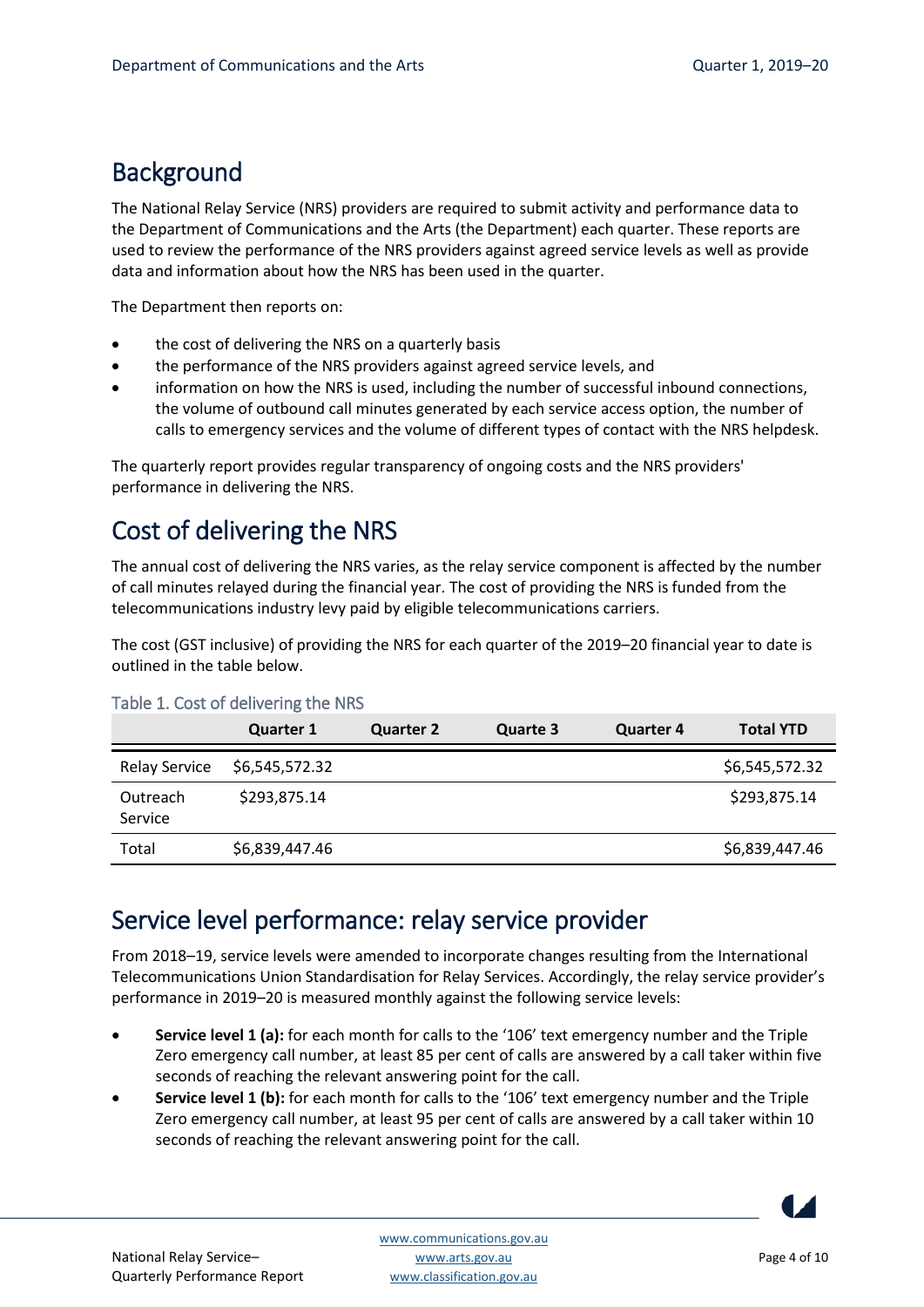# <span id="page-3-0"></span>**Background**

The National Relay Service (NRS) providers are required to submit activity and performance data to the Department of Communications and the Arts (the Department) each quarter. These reports are used to review the performance of the NRS providers against agreed service levels as well as provide data and information about how the NRS has been used in the quarter.

The Department then reports on:

- the cost of delivering the NRS on a quarterly basis
- the performance of the NRS providers against agreed service levels, and
- information on how the NRS is used, including the number of successful inbound connections, the volume of outbound call minutes generated by each service access option, the number of calls to emergency services and the volume of different types of contact with the NRS helpdesk.

The quarterly report provides regular transparency of ongoing costs and the NRS providers' performance in delivering the NRS.

# <span id="page-3-1"></span>Cost of delivering the NRS

The annual cost of delivering the NRS varies, as the relay service component is affected by the number of call minutes relayed during the financial year. The cost of providing the NRS is funded from the telecommunications industry levy paid by eligible telecommunications carriers.

The cost (GST inclusive) of providing the NRS for each quarter of the 2019–20 financial year to date is outlined in the table below.

|                      | <b>Quarter 1</b> | <b>Quarter 2</b> | <b>Quarte 3</b> | <b>Quarter 4</b> | <b>Total YTD</b> |
|----------------------|------------------|------------------|-----------------|------------------|------------------|
| <b>Relay Service</b> | \$6,545,572.32   |                  |                 |                  | \$6,545,572.32   |
| Outreach<br>Service  | \$293,875.14     |                  |                 |                  | \$293,875.14     |
| Total                | \$6,839,447.46   |                  |                 |                  | \$6,839,447.46   |

#### <span id="page-3-3"></span>Table 1. Cost of delivering the NRS

### <span id="page-3-2"></span>Service level performance: relay service provider

From 2018–19, service levels were amended to incorporate changes resulting from the International Telecommunications Union Standardisation for Relay Services. Accordingly, the relay service provider's performance in 2019–20 is measured monthly against the following service levels:

- **Service level 1 (a):** for each month for calls to the '106' text emergency number and the Triple Zero emergency call number, at least 85 per cent of calls are answered by a call taker within five seconds of reaching the relevant answering point for the call.
- **Service level 1 (b):** for each month for calls to the '106' text emergency number and the Triple Zero emergency call number, at least 95 per cent of calls are answered by a call taker within 10 seconds of reaching the relevant answering point for the call.

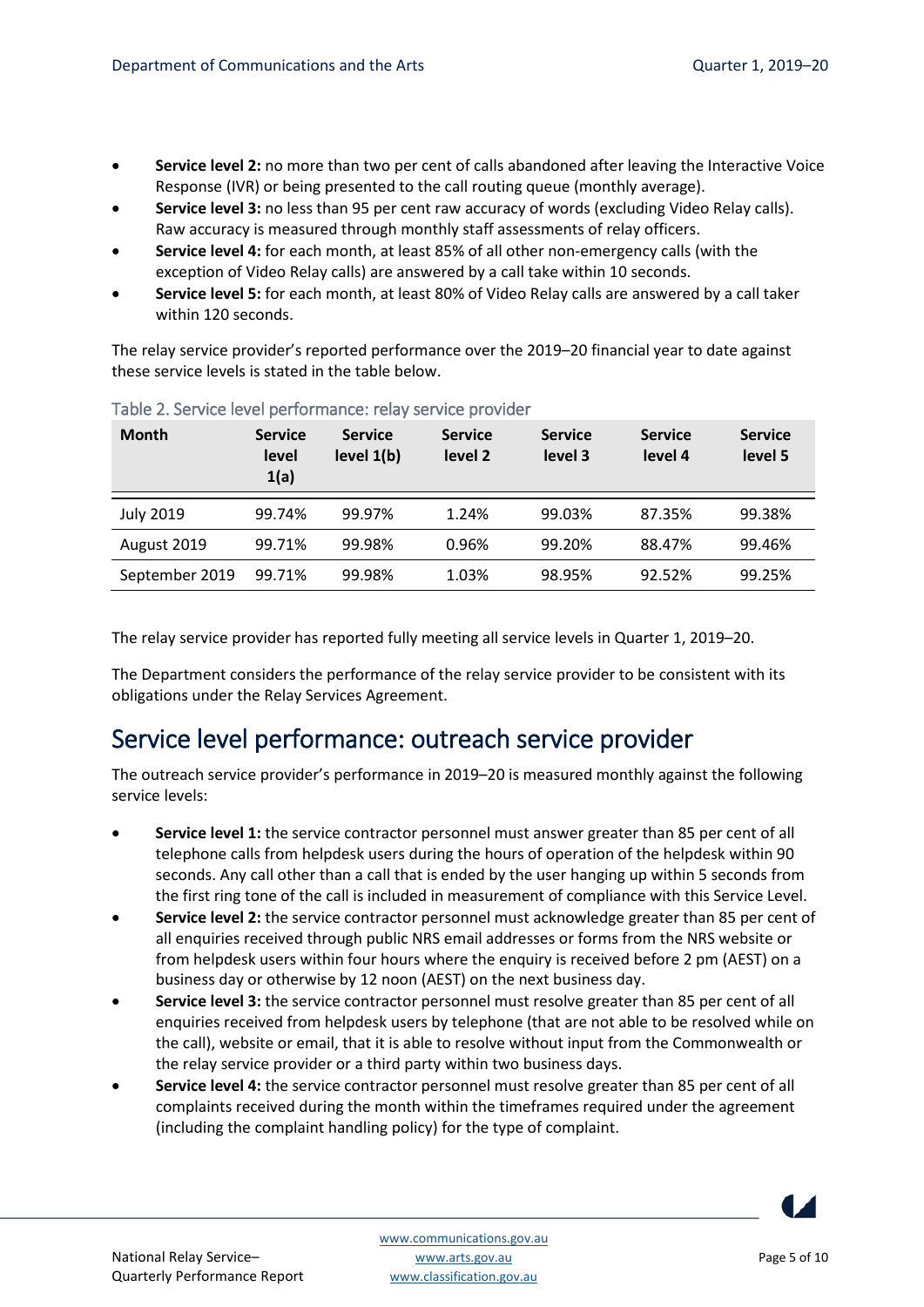- **Service level 2:** no more than two per cent of calls abandoned after leaving the Interactive Voice Response (IVR) or being presented to the call routing queue (monthly average).
- **Service level 3:** no less than 95 per cent raw accuracy of words (excluding Video Relay calls). Raw accuracy is measured through monthly staff assessments of relay officers.
- **Service level 4:** for each month, at least 85% of all other non-emergency calls (with the exception of Video Relay calls) are answered by a call take within 10 seconds.
- **Service level 5:** for each month, at least 80% of Video Relay calls are answered by a call taker within 120 seconds.

The relay service provider's reported performance over the 2019–20 financial year to date against these service levels is stated in the table below.

| <b>Month</b>     | <b>Service</b><br>level<br>1(a) | <b>Service</b><br>level $1(b)$ | <b>Service</b><br>level 2 | <b>Service</b><br>level 3 | <b>Service</b><br>level 4 | <b>Service</b><br>level 5 |
|------------------|---------------------------------|--------------------------------|---------------------------|---------------------------|---------------------------|---------------------------|
| <b>July 2019</b> | 99.74%                          | 99.97%                         | 1.24%                     | 99.03%                    | 87.35%                    | 99.38%                    |
| August 2019      | 99.71%                          | 99.98%                         | 0.96%                     | 99.20%                    | 88.47%                    | 99.46%                    |
| September 2019   | 99.71%                          | 99.98%                         | 1.03%                     | 98.95%                    | 92.52%                    | 99.25%                    |

#### <span id="page-4-1"></span>Table 2. Service level performance: relay service provider

The relay service provider has reported fully meeting all service levels in Quarter 1, 2019–20.

The Department considers the performance of the relay service provider to be consistent with its obligations under the Relay Services Agreement.

### <span id="page-4-0"></span>Service level performance: outreach service provider

The outreach service provider's performance in 2019–20 is measured monthly against the following service levels:

- **Service level 1:** the service contractor personnel must answer greater than 85 per cent of all telephone calls from helpdesk users during the hours of operation of the helpdesk within 90 seconds. Any call other than a call that is ended by the user hanging up within 5 seconds from the first ring tone of the call is included in measurement of compliance with this Service Level.
- **Service level 2:** the service contractor personnel must acknowledge greater than 85 per cent of all enquiries received through public NRS email addresses or forms from the NRS website or from helpdesk users within four hours where the enquiry is received before 2 pm (AEST) on a business day or otherwise by 12 noon (AEST) on the next business day.
- **Service level 3:** the service contractor personnel must resolve greater than 85 per cent of all enquiries received from helpdesk users by telephone (that are not able to be resolved while on the call), website or email, that it is able to resolve without input from the Commonwealth or the relay service provider or a third party within two business days.
- **Service level 4:** the service contractor personnel must resolve greater than 85 per cent of all complaints received during the month within the timeframes required under the agreement (including the complaint handling policy) for the type of complaint.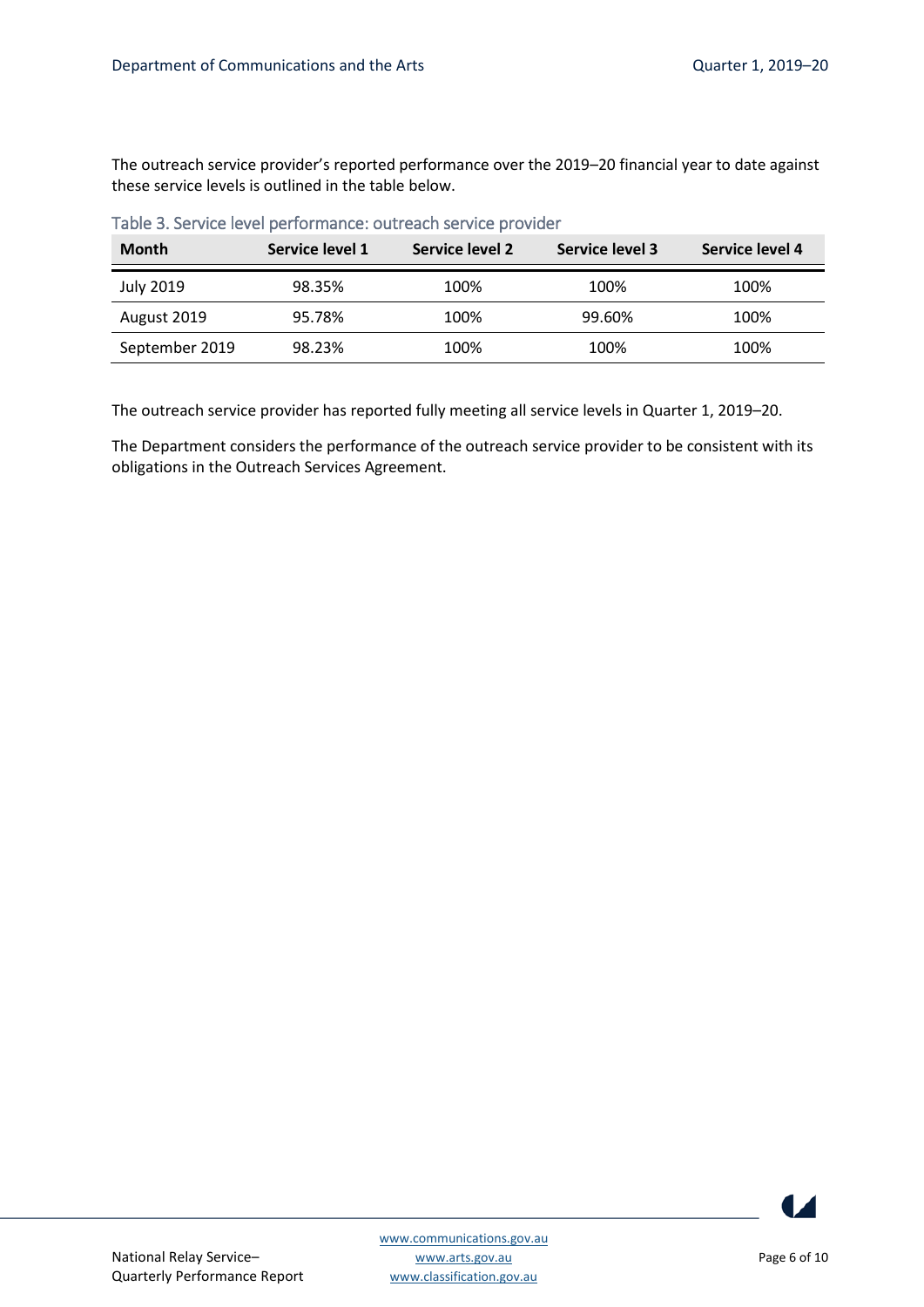The outreach service provider's reported performance over the 2019–20 financial year to date against these service levels is outlined in the table below.

| <b>Month</b>   | Service level 1 | Service level 2 | Service level 3 | Service level 4 |
|----------------|-----------------|-----------------|-----------------|-----------------|
| July 2019      | 98.35%          | 100%            | 100%            | 100%            |
| August 2019    | 95.78%          | 100%            | 99.60%          | 100%            |
| September 2019 | 98.23%          | 100%            | 100%            | 100%            |

<span id="page-5-0"></span>

| Table 3. Service level performance: outreach service provider |
|---------------------------------------------------------------|
|---------------------------------------------------------------|

The outreach service provider has reported fully meeting all service levels in Quarter 1, 2019–20.

The Department considers the performance of the outreach service provider to be consistent with its obligations in the Outreach Services Agreement.

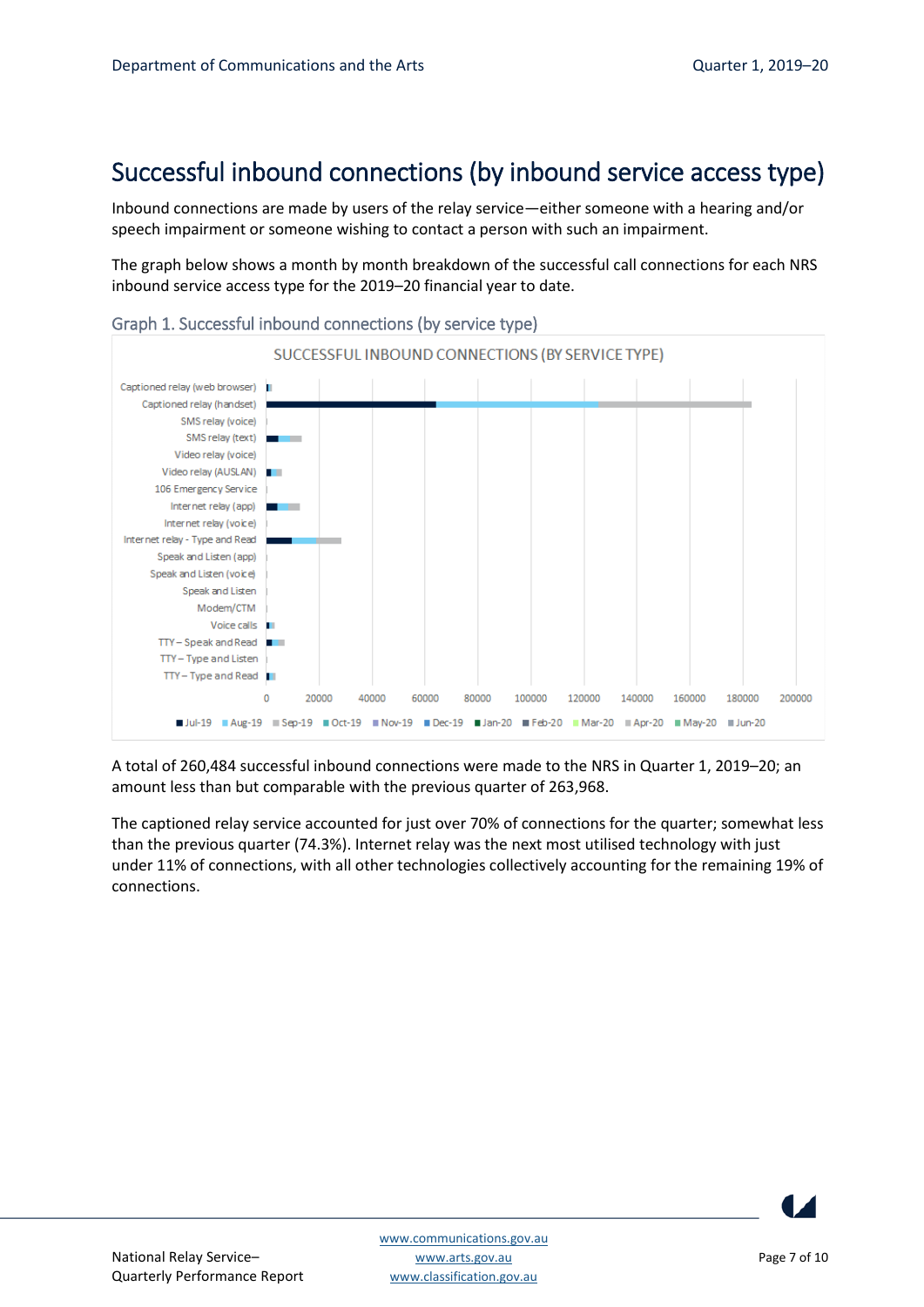### <span id="page-6-0"></span>Successful inbound connections (by inbound service access type)

Inbound connections are made by users of the relay service—either someone with a hearing and/or speech impairment or someone wishing to contact a person with such an impairment.

The graph below shows a month by month breakdown of the successful call connections for each NRS inbound service access type for the 2019–20 financial year to date.



<span id="page-6-1"></span>

A total of 260,484 successful inbound connections were made to the NRS in Quarter 1, 2019–20; an amount less than but comparable with the previous quarter of 263,968.

The captioned relay service accounted for just over 70% of connections for the quarter; somewhat less than the previous quarter (74.3%). Internet relay was the next most utilised technology with just under 11% of connections, with all other technologies collectively accounting for the remaining 19% of connections.

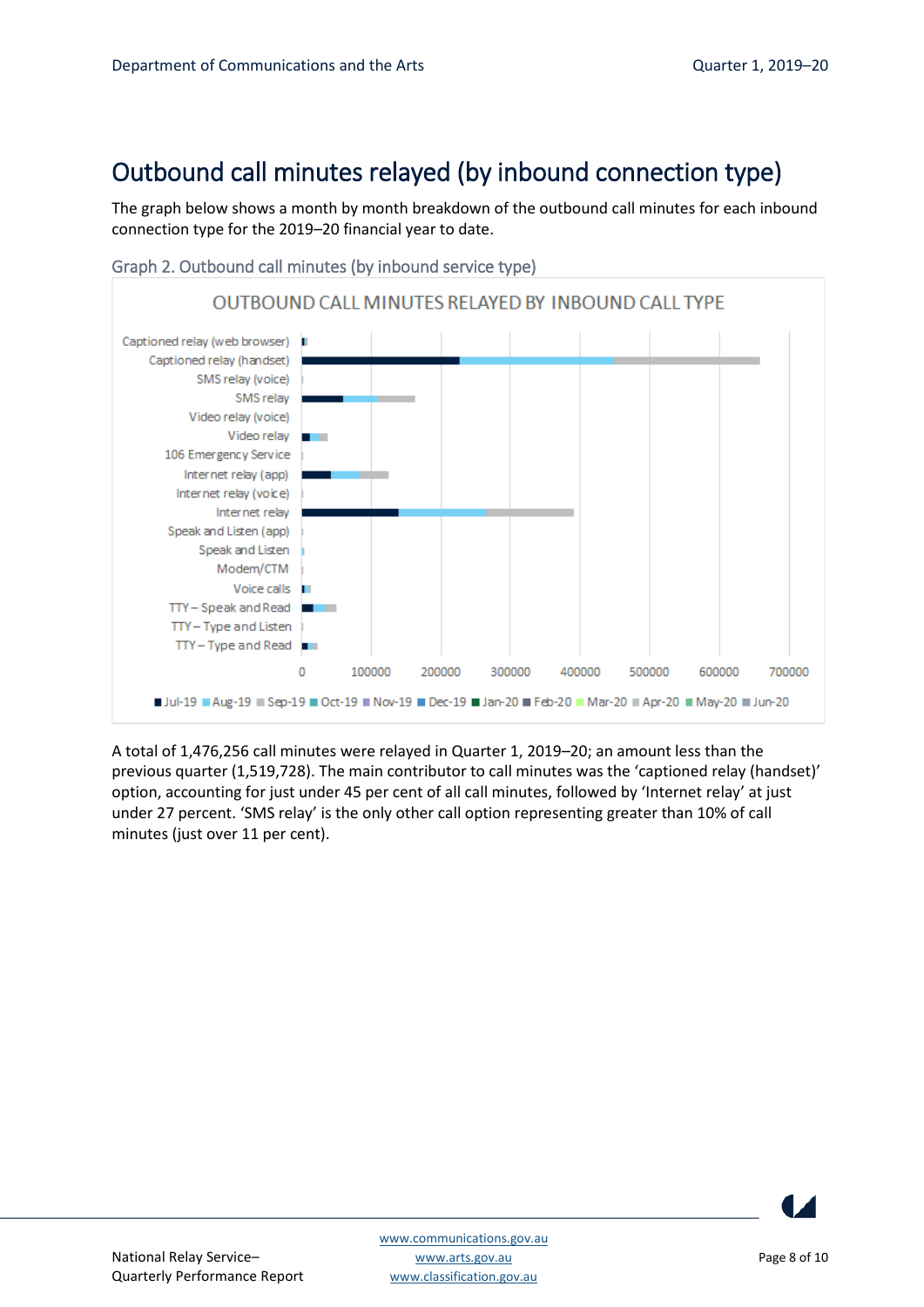# <span id="page-7-0"></span>Outbound call minutes relayed (by inbound connection type)

The graph below shows a month by month breakdown of the outbound call minutes for each inbound connection type for the 2019–20 financial year to date.



<span id="page-7-1"></span>Graph 2. Outbound call minutes (by inbound service type)

A total of 1,476,256 call minutes were relayed in Quarter 1, 2019–20; an amount less than the previous quarter (1,519,728). The main contributor to call minutes was the 'captioned relay (handset)' option, accounting for just under 45 per cent of all call minutes, followed by 'Internet relay' at just under 27 percent. 'SMS relay' is the only other call option representing greater than 10% of call minutes (just over 11 per cent).

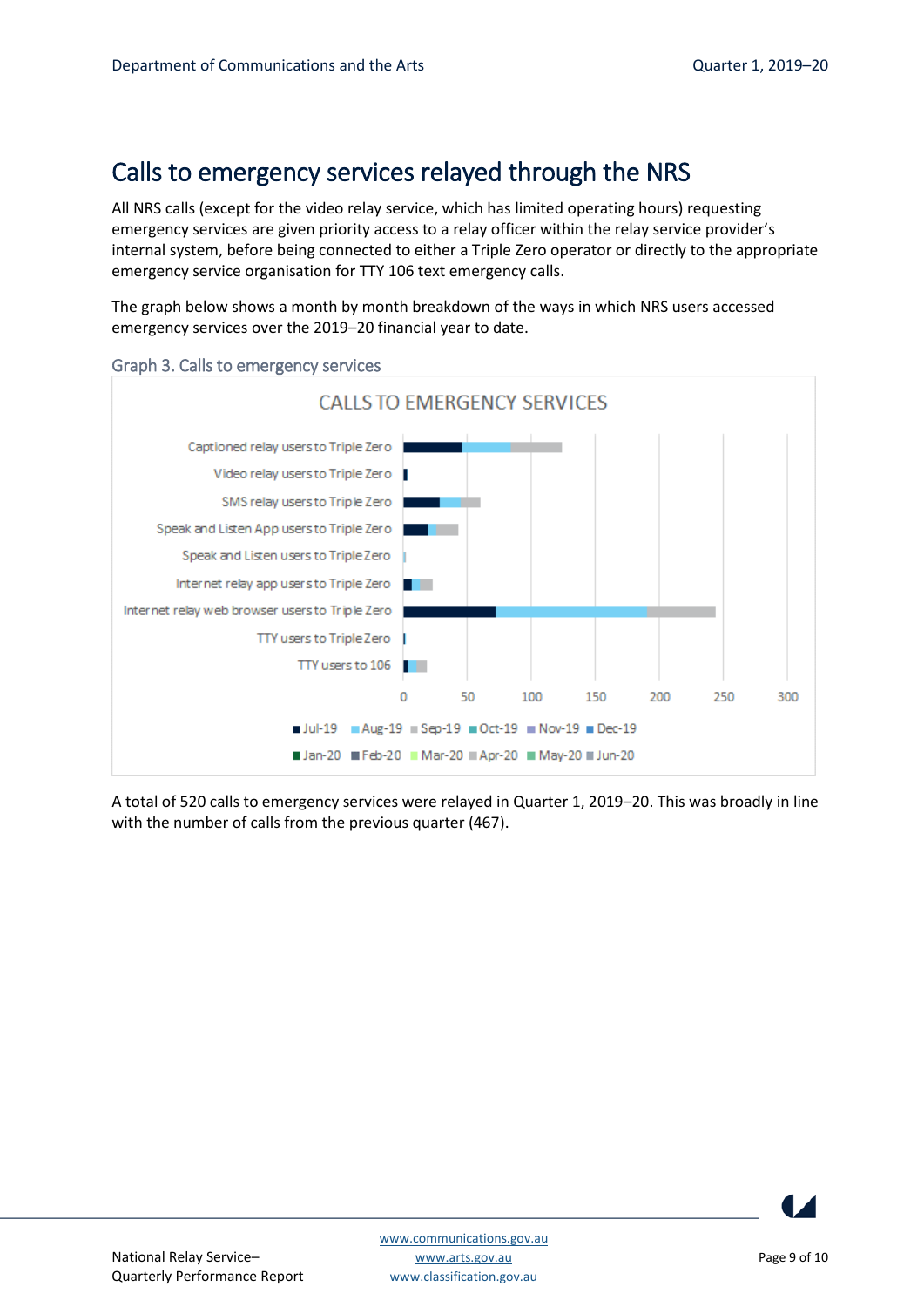#### <span id="page-8-0"></span>Calls to emergency services relayed through the NRS

All NRS calls (except for the video relay service, which has limited operating hours) requesting emergency services are given priority access to a relay officer within the relay service provider's internal system, before being connected to either a Triple Zero operator or directly to the appropriate emergency service organisation for TTY 106 text emergency calls.

The graph below shows a month by month breakdown of the ways in which NRS users accessed emergency services over the 2019–20 financial year to date.

<span id="page-8-1"></span>

A total of 520 calls to emergency services were relayed in Quarter 1, 2019–20. This was broadly in line with the number of calls from the previous quarter (467).